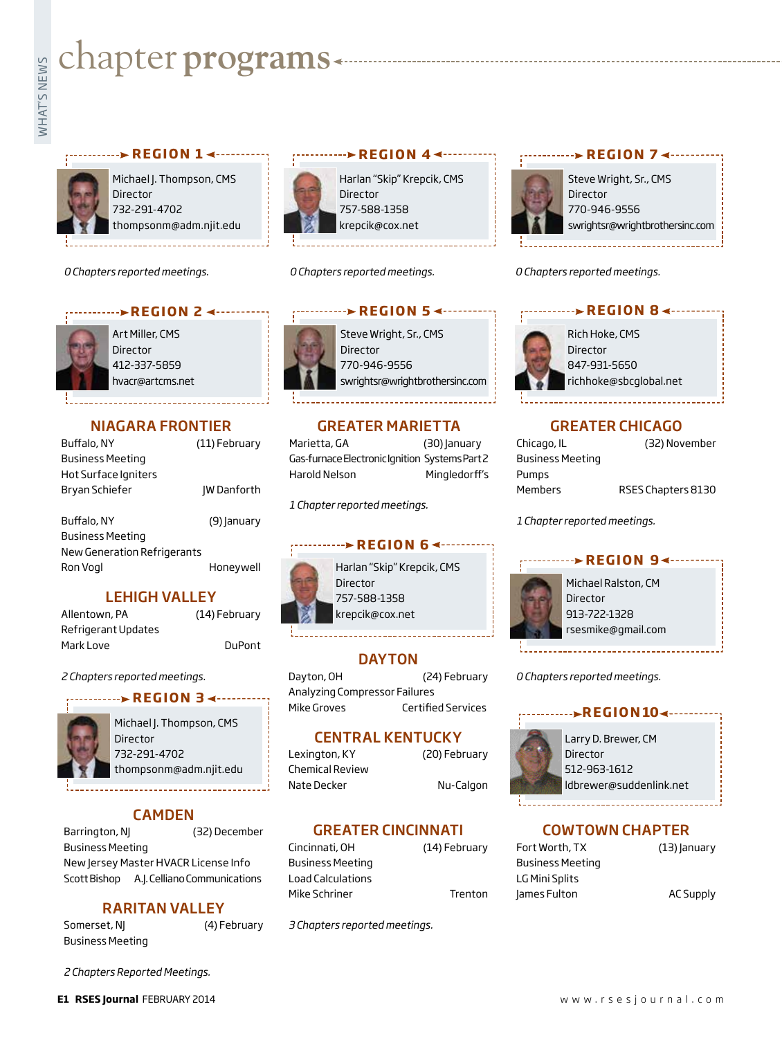# **Example for programs**<br>Example:<br>Fig. 1

#### **REGION 1 < ..........**



Michael J. Thompson, CMS **Director** 732-291-4702 thompsonm@adm.njit.edu

*0 Chapters reported meetings.*



Art Miller, CMS Director 412-337-5859 hvacr@artcms.net

#### NIAGARA FRONTIER

| Buffalo, NY          | (11) February      |
|----------------------|--------------------|
| Business Meeting     |                    |
| Hot Surface Igniters |                    |
| Bryan Schiefer       | <b>IW Danforth</b> |
|                      |                    |
| Buffalo, NY          | (9) January        |
| Business Meetina     |                    |

Business Meeting New Generation Refrigerants Ron Vogl **Honeywell** 

#### LEHIGH VALLEY

| Allentown, PA       | (14) February |
|---------------------|---------------|
| Refrigerant Updates |               |
| Mark Love           | DuPont        |

*2 Chapters reported meetings.*

#### **REGION 3 → ········**



Michael J. Thompson, CMS Director 732-291-4702 thompsonm@adm.njit.edu

#### CAMDEN

Barrington, NJ (32) December Business Meeting New Jersey Master HVACR License Info Scott Bishop A.J. Celliano Communications

#### RARITAN VALLEY

Somerset, NJ (4) February Business Meeting

*2 Chapters Reported Meetings.*

Harlan "Skip" Krepcik, CMS Director 757-588-1358 krepcik@cox.net

*0 Chapters reported meetings.*

## **EXEGION 5 <---------**

Steve Wright, Sr., CMS Director 770-946-9556 swrightsr@wrightbrothersinc.com

**REGION 4**

#### GREATER MARIETTA

Marietta, GA (30) January Gas-furnace Electronic Ignition Systems Part 2 Harold Nelson Mingledorff's

*1 Chapter reported meetings.*

#### **REGION 6 <----->**

Harlan "Skip" Krepcik, CMS Director 757-588-1358 krepcik@cox.net

#### **DAYTON**

Dayton, OH (24) February Analyzing Compressor Failures Mike Groves Certified Services

#### CENTRAL KENTUCKY

Lexington, KY (20) February Chemical Review Nate Decker Nu-Calgon

#### GREATER CINCINNATI

Cincinnati, OH (14) February Business Meeting Load Calculations Mike Schriner Trenton

*3 Chapters reported meetings.*



Steve Wright, Sr., CMS Director 770-946-9556 swrightsr@wrightbrothersinc.com

**REGION 7**

*0 Chapters reported meetings.*



#### GREATER CHICAGO

| Chicago, IL      | (32) November      |
|------------------|--------------------|
| Business Meeting |                    |
| Pumps            |                    |
| Members          | RSES Chapters 8130 |

*1 Chapter reported meetings.*

#### **REGION 9∢ -----**



Michael Ralston, CM Director 913-722-1328 rsesmike@gmail.com

*0 Chapters reported meetings.*

#### --->REGION10<-----



Larry D. Brewer, CM Director 512-963-1612 ldbrewer@suddenlink.net

#### COWTOWN CHAPTER

Fort Worth, TX (13) January Business Meeting LG Mini Splits James Fulton **AC Supply**